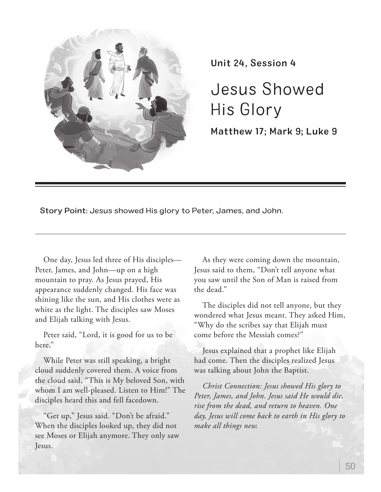

Unit 24, Session 4

Jesus Showed His Glory

Matthew 17; Mark 9; Luke 9

Story Point: Jesus showed His glory to Peter, James, and John.

One day, Jesus led three of His disciples— Peter, James, and John—up on a high mountain to pray. As Jesus prayed, His appearance suddenly changed. His face was shining like the sun, and His clothes were as white as the light. The disciples saw Moses and Elijah talking with Jesus.

Peter said, "Lord, it is good for us to be here."

While Peter was still speaking, a bright cloud suddenly covered them. A voice from the cloud said, "This is My beloved Son, with whom I am well-pleased. Listen to Him!" The disciples heard this and fell facedown.

"Get up," Jesus said. "Don't be afraid." When the disciples looked up, they did not see Moses or Elijah anymore. They only saw Jesus.

As they were coming down the mountain, Jesus said to them, "Don't tell anyone what you saw until the Son of Man is raised from the dead."

The disciples did not tell anyone, but they wondered what Jesus meant. They asked Him, "Why do the scribes say that Elijah must come before the Messiah comes?"

Jesus explained that a prophet like Elijah had come. Then the disciples realized Jesus was talking about John the Baptist.

*Christ Connection: Jesus showed His glory to Peter, James, and John. Jesus said He would die, rise from the dead, and return to heaven. One day, Jesus will come back to earth in His glory to make all things new.*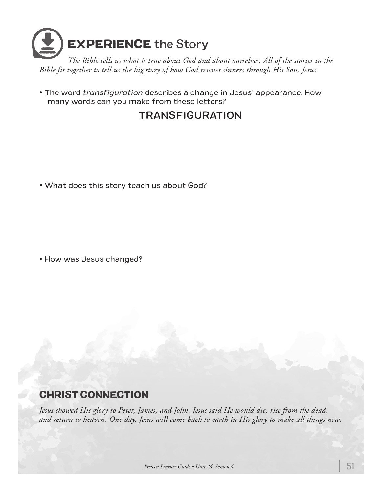

*The Bible tells us what is true about God and about ourselves. All of the stories in the Bible fit together to tell us the big story of how God rescues sinners through His Son, Jesus.*

• The word *transfiguration* describes a change in Jesus' appearance. How many words can you make from these letters?

## TRANSFIGURATION

• What does this story teach us about God?

• How was Jesus changed?

## CHRIST CONNECTION

*Jesus showed His glory to Peter, James, and John. Jesus said He would die, rise from the dead, and return to heaven. One day, Jesus will come back to earth in His glory to make all things new.*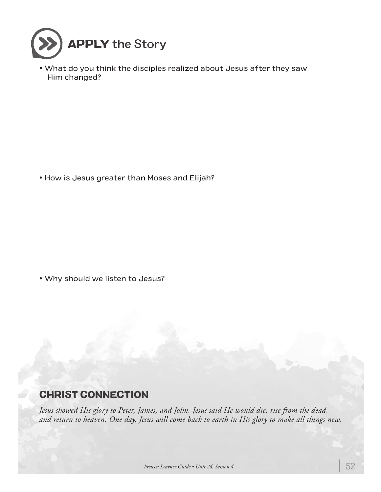

• What do you think the disciples realized about Jesus after they saw Him changed?

• How is Jesus greater than Moses and Elijah?

• Why should we listen to Jesus?

## CHRIST CONNECTION

*Jesus showed His glory to Peter, James, and John. Jesus said He would die, rise from the dead, and return to heaven. One day, Jesus will come back to earth in His glory to make all things new.*